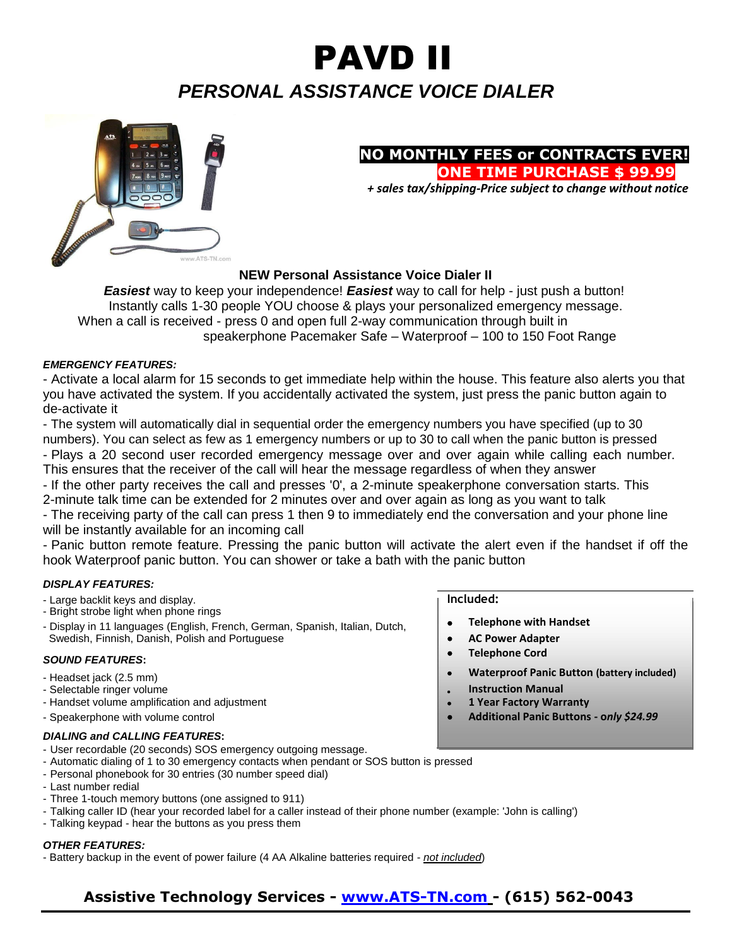# PAVD II *PERSONAL ASSISTANCE VOICE DIALER*





*+ sales tax/shipping-Price subject to change without notice*

# **NEW Personal Assistance Voice Dialer II**

*Easiest* way to keep your independence! *Easiest* way to call for help - just push a button! Instantly calls 1-30 people YOU choose & plays your personalized emergency message. When a call is received - press 0 and open full 2-way communication through built in speakerphone Pacemaker Safe – Waterproof – 100 to 150 Foot Range

# *EMERGENCY FEATURES:*

- Activate a local alarm for 15 seconds to get immediate help within the house. This feature also alerts you that you have activated the system. If you accidentally activated the system, just press the panic button again to de-activate it

- The system will automatically dial in sequential order the emergency numbers you have specified (up to 30 numbers). You can select as few as 1 emergency numbers or up to 30 to call when the panic button is pressed - Plays a 20 second user recorded emergency message over and over again while calling each number. This ensures that the receiver of the call will hear the message regardless of when they answer

- If the other party receives the call and presses '0', a 2-minute speakerphone conversation starts. This 2-minute talk time can be extended for 2 minutes over and over again as long as you want to talk

- The receiving party of the call can press 1 then 9 to immediately end the conversation and your phone line will be instantly available for an incoming call

- Panic button remote feature. Pressing the panic button will activate the alert even if the handset if off the hook Waterproof panic button. You can shower or take a bath with the panic button

# *DISPLAY FEATURES:*

- Large backlit keys and display. **Included:**
- Bright strobe light when phone rings
- Display in 11 languages (English, French, German, Spanish, Italian, Dutch, Swedish, Finnish, Danish, Polish and Portuguese **Access 1998 • AC Power Adapter •**

# *SOUND FEATURES***:**

- Headset jack (2.5 mm)
- Selectable ringer volume *Instruction Manual* **Instruction Manual**
- Handset volume amplification and adjustment **1 Year Factory Warranty**
- 

#### *DIALING and CALLING FEATURES***:**

- User recordable (20 seconds) SOS emergency outgoing message.
- Automatic dialing of 1 to 30 emergency contacts when pendant or SOS button is pressed
- Personal phonebook for 30 entries (30 number speed dial)
- Last number redial
- Three 1-touch memory buttons (one assigned to 911)
- Talking caller ID (hear your recorded label for a caller instead of their phone number (example: 'John is calling')
- Talking keypad hear the buttons as you press them

#### *OTHER FEATURES:*

- Battery backup in the event of power failure (4 AA Alkaline batteries required - *not included*)

**Assistive Technology Services - [www.ATS-TN.com](http://www.ats-tn.com/) - (615) 562-0043**

- **Telephone with Handset**
- 
- **Telephone Cord**
- **Waterproof Panic Button (battery included)**
- 
- 
- Speakerphone with volume control **Additional Panic Buttons - o***nly \$24.99*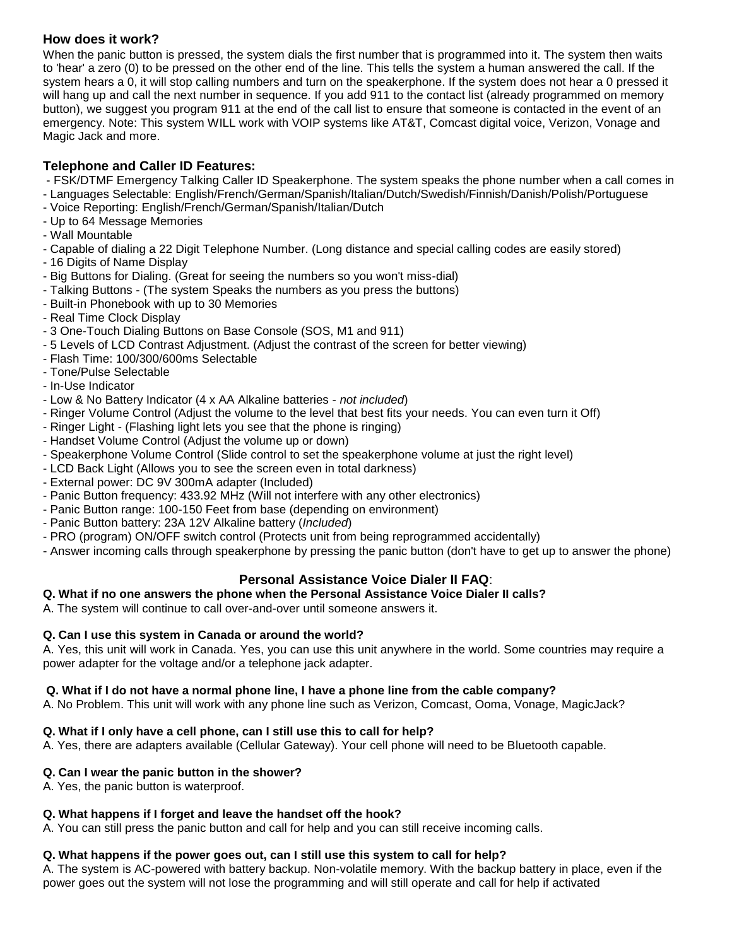# **How does it work?**

When the panic button is pressed, the system dials the first number that is programmed into it. The system then waits to 'hear' a zero (0) to be pressed on the other end of the line. This tells the system a human answered the call. If the system hears a 0, it will stop calling numbers and turn on the speakerphone. If the system does not hear a 0 pressed it will hang up and call the next number in sequence. If you add 911 to the contact list (already programmed on memory button), we suggest you program 911 at the end of the call list to ensure that someone is contacted in the event of an emergency. Note: This system WILL work with VOIP systems like AT&T, Comcast digital voice, Verizon, Vonage and Magic Jack and more.

# **Telephone and Caller ID Features:**

- FSK/DTMF Emergency Talking Caller ID Speakerphone. The system speaks the phone number when a call comes in
- Languages Selectable: English/French/German/Spanish/Italian/Dutch/Swedish/Finnish/Danish/Polish/Portuguese
- Voice Reporting: English/French/German/Spanish/Italian/Dutch
- Up to 64 Message Memories
- Wall Mountable
- Capable of dialing a 22 Digit Telephone Number. (Long distance and special calling codes are easily stored)
- 16 Digits of Name Display
- Big Buttons for Dialing. (Great for seeing the numbers so you won't miss-dial)
- Talking Buttons (The system Speaks the numbers as you press the buttons)
- Built-in Phonebook with up to 30 Memories
- Real Time Clock Display
- 3 One-Touch Dialing Buttons on Base Console (SOS, M1 and 911)
- 5 Levels of LCD Contrast Adjustment. (Adjust the contrast of the screen for better viewing)
- Flash Time: 100/300/600ms Selectable
- Tone/Pulse Selectable
- In-Use Indicator
- Low & No Battery Indicator (4 x AA Alkaline batteries *not included*)
- Ringer Volume Control (Adjust the volume to the level that best fits your needs. You can even turn it Off)
- Ringer Light (Flashing light lets you see that the phone is ringing)
- Handset Volume Control (Adjust the volume up or down)
- Speakerphone Volume Control (Slide control to set the speakerphone volume at just the right level)
- LCD Back Light (Allows you to see the screen even in total darkness)
- External power: DC 9V 300mA adapter (Included)
- Panic Button frequency: 433.92 MHz (Will not interfere with any other electronics)
- Panic Button range: 100-150 Feet from base (depending on environment)
- Panic Button battery: 23A 12V Alkaline battery (*Included*)
- PRO (program) ON/OFF switch control (Protects unit from being reprogrammed accidentally)
- Answer incoming calls through speakerphone by pressing the panic button (don't have to get up to answer the phone)

# **Personal Assistance Voice Dialer II FAQ**:

# **Q. What if no one answers the phone when the Personal Assistance Voice Dialer II calls?**

A. The system will continue to call over-and-over until someone answers it.

# **Q. Can I use this system in Canada or around the world?**

A. Yes, this unit will work in Canada. Yes, you can use this unit anywhere in the world. Some countries may require a power adapter for the voltage and/or a telephone jack adapter.

# **Q. What if I do not have a normal phone line, I have a phone line from the cable company?**

A. No Problem. This unit will work with any phone line such as Verizon, Comcast, Ooma, Vonage, MagicJack?

# **Q. What if I only have a cell phone, can I still use this to call for help?**

A. Yes, there are adapters available (Cellular Gateway). Your cell phone will need to be Bluetooth capable.

# **Q. Can I wear the panic button in the shower?**

A. Yes, the panic button is waterproof.

# **Q. What happens if I forget and leave the handset off the hook?**

A. You can still press the panic button and call for help and you can still receive incoming calls.

# **Q. What happens if the power goes out, can I still use this system to call for help?**

A. The system is AC-powered with battery backup. Non-volatile memory. With the backup battery in place, even if the power goes out the system will not lose the programming and will still operate and call for help if activated